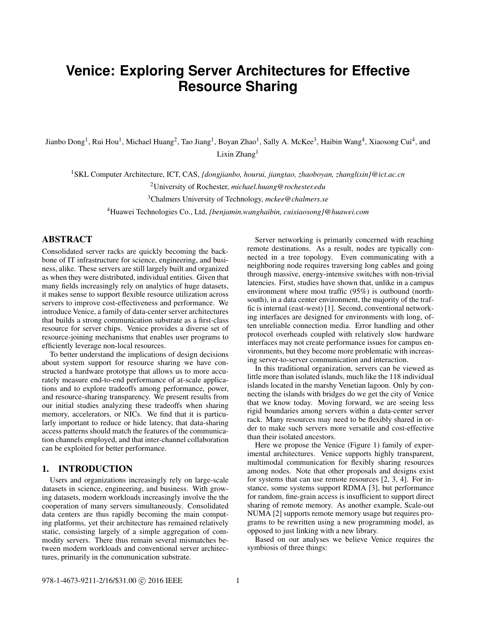# **Venice: Exploring Server Architectures for Effective Resource Sharing**

Jianbo Dong<sup>1</sup>, Rui Hou<sup>1</sup>, Michael Huang<sup>2</sup>, Tao Jiang<sup>1</sup>, Boyan Zhao<sup>1</sup>, Sally A. McKee<sup>3</sup>, Haibin Wang<sup>4</sup>, Xiaosong Cui<sup>4</sup>, and Lixin  $Z$ hang<sup>1</sup>

<sup>1</sup>SKL Computer Architecture, ICT, CAS, *{dongjianbo, hourui, jiangtao, zhaoboyan, zhanglixin}@ict.ac.cn*

<sup>2</sup>University of Rochester, *michael.huang@rochester.edu*

<sup>3</sup>Chalmers University of Technology, *mckee@chalmers.se*

<sup>4</sup>Huawei Technologies Co., Ltd, *{benjamin.wanghaibin, cuixiaosong}@huawei.com*

## ABSTRACT

Consolidated server racks are quickly becoming the backbone of IT infrastructure for science, engineering, and business, alike. These servers are still largely built and organized as when they were distributed, individual entities. Given that many fields increasingly rely on analytics of huge datasets, it makes sense to support flexible resource utilization across servers to improve cost-effectiveness and performance. We introduce Venice, a family of data-center server architectures that builds a strong communication substrate as a first-class resource for server chips. Venice provides a diverse set of resource-joining mechanisms that enables user programs to efficiently leverage non-local resources.

To better understand the implications of design decisions about system support for resource sharing we have constructed a hardware prototype that allows us to more accurately measure end-to-end performance of at-scale applications and to explore tradeoffs among performance, power, and resource-sharing transparency. We present results from our initial studies analyzing these tradeoffs when sharing memory, accelerators, or NICs. We find that it is particularly important to reduce or hide latency, that data-sharing access patterns should match the features of the communication channels employed, and that inter-channel collaboration can be exploited for better performance.

# 1. INTRODUCTION

Users and organizations increasingly rely on large-scale datasets in science, engineering, and business. With growing datasets, modern workloads increasingly involve the the cooperation of many servers simultaneously. Consolidated data centers are thus rapidly becoming the main computing platforms, yet their architecture has remained relatively static, consisting largely of a simple aggregation of commodity servers. There thus remain several mismatches between modern workloads and conventional server architectures, primarily in the communication substrate.

Server networking is primarily concerned with reaching remote destinations. As a result, nodes are typically connected in a tree topology. Even communicating with a neighboring node requires traversing long cables and going through massive, energy-intensive switches with non-trivial latencies. First, studies have shown that, unlike in a campus environment where most traffic (95%) is outbound (northsouth), in a data center environment, the majority of the traffic is internal (east-west) [1]. Second, conventional networking interfaces are designed for environments with long, often unreliable connection media. Error handling and other protocol overheads coupled with relatively slow hardware interfaces may not create performance issues for campus environments, but they become more problematic with increasing server-to-server communication and interaction.

In this traditional organization, servers can be viewed as little more than isolated islands, much like the 118 individual islands located in the marshy Venetian lagoon. Only by connecting the islands with bridges do we get the city of Venice that we know today. Moving forward, we are seeing less rigid boundaries among servers within a data-center server rack. Many resources may need to be flexibly shared in order to make such servers more versatile and cost-effective than their isolated ancestors.

Here we propose the Venice (Figure 1) family of experimental architectures. Venice supports highly transparent, multimodal communication for flexibly sharing resources among nodes. Note that other proposals and designs exist for systems that can use remote resources [2, 3, 4]. For instance, some systems support RDMA [3], but performance for random, fine-grain access is insufficient to support direct sharing of remote memory. As another example, Scale-out NUMA [2] supports remote memory usage but requires programs to be rewritten using a new programming model, as opposed to just linking with a new library.

Based on our analyses we believe Venice requires the symbiosis of three things: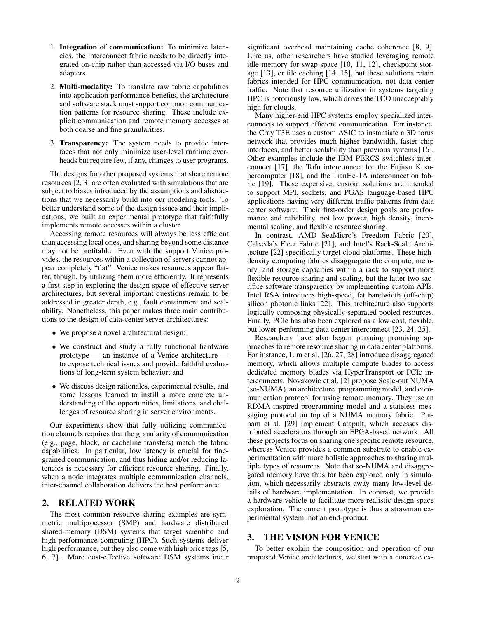- 1. Integration of communication: To minimize latencies, the interconnect fabric needs to be directly integrated on-chip rather than accessed via I/O buses and adapters.
- 2. Multi-modality: To translate raw fabric capabilities into application performance benefits, the architecture and software stack must support common communication patterns for resource sharing. These include explicit communication and remote memory accesses at both coarse and fine granularities.
- 3. Transparency: The system needs to provide interfaces that not only minimize user-level runtime overheads but require few, if any, changes to user programs.

The designs for other proposed systems that share remote resources [2, 3] are often evaluated with simulations that are subject to biases introduced by the assumptions and abstractions that we necessarily build into our modeling tools. To better understand some of the design issues and their implications, we built an experimental prototype that faithfully implements remote accesses within a cluster.

Accessing remote resources will always be less efficient than accessing local ones, and sharing beyond some distance may not be profitable. Even with the support Venice provides, the resources within a collection of servers cannot appear completely "flat". Venice makes resources appear flatter, though, by utilizing them more efficiently. It represents a first step in exploring the design space of effective server architectures, but several important questions remain to be addressed in greater depth, e.g., fault containment and scalability. Nonetheless, this paper makes three main contributions to the design of data-center server architectures:

- We propose a novel architectural design;
- We construct and study a fully functional hardware prototype — an instance of a Venice architecture to expose technical issues and provide faithful evaluations of long-term system behavior; and
- We discuss design rationales, experimental results, and some lessons learned to instill a more concrete understanding of the opportunities, limitations, and challenges of resource sharing in server environments.

Our experiments show that fully utilizing communication channels requires that the granularity of communication (e.g., page, block, or cacheline transfers) match the fabric capabilities. In particular, low latency is crucial for finegrained communication, and thus hiding and/or reducing latencies is necessary for efficient resource sharing. Finally, when a node integrates multiple communication channels, inter-channel collaboration delivers the best performance.

# 2. RELATED WORK

The most common resource-sharing examples are symmetric multiprocessor (SMP) and hardware distributed shared-memory (DSM) systems that target scientific and high-performance computing (HPC). Such systems deliver high performance, but they also come with high price tags [5, 6, 7]. More cost-effective software DSM systems incur significant overhead maintaining cache coherence [8, 9]. Like us, other researchers have studied leveraging remote idle memory for swap space [10, 11, 12], checkpoint storage [13], or file caching [14, 15], but these solutions retain fabrics intended for HPC communication, not data center traffic. Note that resource utilization in systems targeting HPC is notoriously low, which drives the TCO unacceptably high for clouds.

Many higher-end HPC systems employ specialized interconnects to support efficient communication. For instance, the Cray T3E uses a custom ASIC to instantiate a 3D torus network that provides much higher bandwidth, faster chip interfaces, and better scalability than previous systems [16]. Other examples include the IBM PERCS switchless interconnect [17], the Tofu interconnect for the Fujitsu K supercomputer [18], and the TianHe-1A interconnection fabric [19]. These expensive, custom solutions are intended to support MPI, sockets, and PGAS language-based HPC applications having very different traffic patterns from data center software. Their first-order design goals are performance and reliability, not low power, high density, incremental scaling, and flexible resource sharing.

In contrast, AMD SeaMicro's Freedom Fabric [20], Calxeda's Fleet Fabric [21], and Intel's Rack-Scale Architecture [22] specifically target cloud platforms. These highdensity computing fabrics disaggregate the compute, memory, and storage capacities within a rack to support more flexible resource sharing and scaling, but the latter two sacrifice software transparency by implementing custom APIs. Intel RSA introduces high-speed, fat bandwidth (off-chip) silicon photonic links [22]. This architecture also supports logically composing physically separated pooled resources. Finally, PCIe has also been explored as a low-cost, flexible, but lower-performing data center interconnect [23, 24, 25].

Researchers have also begun pursuing promising approaches to remote resource sharing in data center platforms. For instance, Lim et al. [26, 27, 28] introduce disaggregated memory, which allows multiple compute blades to access dedicated memory blades via HyperTransport or PCIe interconnects. Novakovic et al. [2] propose Scale-out NUMA (so-NUMA), an architecture, programming model, and communication protocol for using remote memory. They use an RDMA-inspired programming model and a stateless messaging protocol on top of a NUMA memory fabric. Putnam et al. [29] implement Catapult, which accesses distributed accelerators through an FPGA-based network. All these projects focus on sharing one specific remote resource, whereas Venice provides a common substrate to enable experimentation with more holistic approaches to sharing multiple types of resources. Note that so-NUMA and disaggregated memory have thus far been explored only in simulation, which necessarily abstracts away many low-level details of hardware implementation. In contrast, we provide a hardware vehicle to facilitate more realistic design-space exploration. The current prototype is thus a strawman experimental system, not an end-product.

## 3. THE VISION FOR VENICE

To better explain the composition and operation of our proposed Venice architectures, we start with a concrete ex-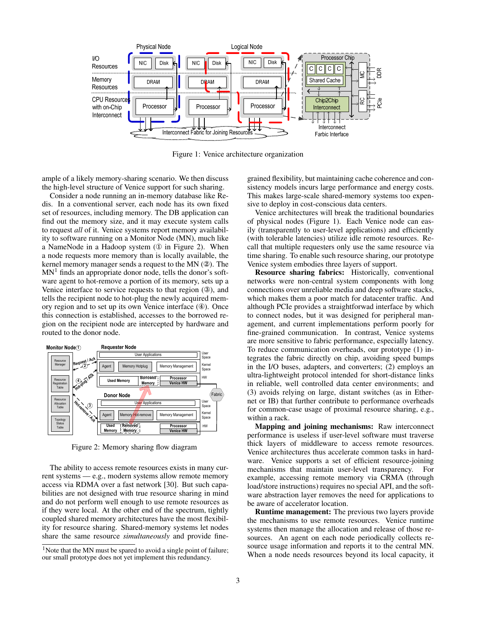

Figure 1: Venice architecture organization

ample of a likely memory-sharing scenario. We then discuss the high-level structure of Venice support for such sharing.

Consider a node running an in-memory database like Redis. In a conventional server, each node has its own fixed set of resources, including memory. The DB application can find out the memory size, and it may execute system calls to request *all* of it. Venice systems report memory availability to software running on a Monitor Node (MN), much like a NameNode in a Hadoop system (① in Figure 2). When a node requests more memory than is locally available, the kernel memory manager sends a request to the MN (②). The  $MN<sup>1</sup>$  finds an appropriate donor node, tells the donor's software agent to hot-remove a portion of its memory, sets up a Venice interface to service requests to that region (③), and tells the recipient node to hot-plug the newly acquired memory region and to set up its own Venice interface (④). Once this connection is established, accesses to the borrowed region on the recipient node are intercepted by hardware and routed to the donor node.



Figure 2: Memory sharing flow diagram

The ability to access remote resources exists in many current systems — e.g., modern systems allow remote memory access via RDMA over a fast network [30]. But such capabilities are not designed with true resource sharing in mind and do not perform well enough to use remote resources as if they were local. At the other end of the spectrum, tightly coupled shared memory architectures have the most flexibility for resource sharing. Shared-memory systems let nodes share the same resource *simultaneously* and provide finegrained flexibility, but maintaining cache coherence and consistency models incurs large performance and energy costs. This makes large-scale shared-memory systems too expensive to deploy in cost-conscious data centers.

Venice architectures will break the traditional boundaries of physical nodes (Figure 1). Each Venice node can easily (transparently to user-level applications) and efficiently (with tolerable latencies) utilize idle remote resources. Recall that multiple requesters only use the same resource via time sharing. To enable such resource sharing, our prototype Venice system embodies three layers of support.

Resource sharing fabrics: Historically, conventional networks were non-central system components with long connections over unreliable media and deep software stacks, which makes them a poor match for datacenter traffic. And although PCIe provides a straightforwad interface by which to connect nodes, but it was designed for peripheral management, and current implementations perform poorly for fine-grained communication. In contrast, Venice systems are more sensitive to fabric performance, especially latency. To reduce communication overheads, our prototype (1) integrates the fabric directly on chip, avoiding speed bumps in the I/O buses, adapters, and converters; (2) employs an ultra-lightweight protocol intended for short-distance links in reliable, well controlled data center environments; and (3) avoids relying on large, distant switches (as in Ethernet or IB) that further contribute to performance overheads for common-case usage of proximal resource sharing, e.g., within a rack.

Mapping and joining mechanisms: Raw interconnect performance is useless if user-level software must traverse thick layers of middleware to access remote resources. Venice architectures thus accelerate common tasks in hardware. Venice supports a set of efficient resource-joining mechanisms that maintain user-level transparency. For example, accessing remote memory via CRMA (through load/store instructions) requires no special API, and the software abstraction layer removes the need for applications to be aware of accelerator location.

Runtime management: The previous two layers provide the mechanisms to use remote resources. Venice runtime systems then manage the allocation and release of those resources. An agent on each node periodically collects resource usage information and reports it to the central MN. When a node needs resources beyond its local capacity, it

<sup>&</sup>lt;sup>1</sup>Note that the MN must be spared to avoid a single point of failure; our small prototype does not yet implement this redundancy.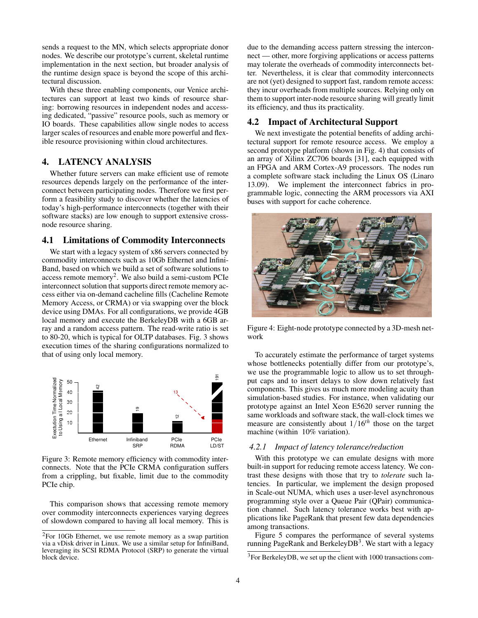sends a request to the MN, which selects appropriate donor nodes. We describe our prototype's current, skeletal runtime implementation in the next section, but broader analysis of the runtime design space is beyond the scope of this architectural discussion.

With these three enabling components, our Venice architectures can support at least two kinds of resource sharing: borrowing resources in independent nodes and accessing dedicated, "passive" resource pools, such as memory or IO boards. These capabilities allow single nodes to access larger scales of resources and enable more powerful and flexible resource provisioning within cloud architectures.

## 4. LATENCY ANALYSIS

Whether future servers can make efficient use of remote resources depends largely on the performance of the interconnect between participating nodes. Therefore we first perform a feasibility study to discover whether the latencies of today's high-performance interconnects (together with their software stacks) are low enough to support extensive crossnode resource sharing.

## 4.1 Limitations of Commodity Interconnects

We start with a legacy system of x86 servers connected by commodity interconnects such as 10Gb Ethernet and Infini-Band, based on which we build a set of software solutions to access remote memory<sup>2</sup>. We also build a semi-custom PCIe interconnect solution that supports direct remote memory access either via on-demand cacheline fills (Cacheline Remote Memory Access, or CRMA) or via swapping over the block device using DMAs. For all configurations, we provide 4GB local memory and execute the BerkeleyDB with a 6GB array and a random access pattern. The read-write ratio is set to 80-20, which is typical for OLTP databases. Fig. 3 shows execution times of the sharing configurations normalized to that of using only local memory.



Figure 3: Remote memory efficiency with commodity interconnects. Note that the PCIe CRMA configuration suffers from a crippling, but fixable, limit due to the commodity PCIe chip.

This comparison shows that accessing remote memory over commodity interconnects experiences varying degrees of slowdown compared to having all local memory. This is

due to the demanding access pattern stressing the interconnect — other, more forgiving applications or access patterns may tolerate the overheads of commodity interconnects better. Nevertheless, it is clear that commodity interconnects are not (yet) designed to support fast, random remote access: they incur overheads from multiple sources. Relying only on them to support inter-node resource sharing will greatly limit its efficiency, and thus its practicality.

## 4.2 Impact of Architectural Support

We next investigate the potential benefits of adding architectural support for remote resource access. We employ a second prototype platform (shown in Fig. 4) that consists of an array of Xilinx ZC706 boards [31], each equipped with an FPGA and ARM Cortex-A9 processors. The nodes run a complete software stack including the Linux OS (Linaro 13.09). We implement the interconnect fabrics in programmable logic, connecting the ARM processors via AXI buses with support for cache coherence.



Figure 4: Eight-node prototype connected by a 3D-mesh network

To accurately estimate the performance of target systems whose bottlenecks potentially differ from our prototype's, we use the programmable logic to allow us to set throughput caps and to insert delays to slow down relatively fast components. This gives us much more modeling acuity than simulation-based studies. For instance, when validating our prototype against an Intel Xeon E5620 server running the same workloads and software stack, the wall-clock times we measure are consistently about 1/16*th* those on the target machine (within 10% variation).

## *4.2.1 Impact of latency tolerance/reduction*

With this prototype we can emulate designs with more built-in support for reducing remote access latency. We contrast these designs with those that try to *tolerate* such latencies. In particular, we implement the design proposed in Scale-out NUMA, which uses a user-level asynchronous programming style over a Queue Pair (QPair) communication channel. Such latency tolerance works best with applications like PageRank that present few data dependencies among transactions.

Figure 5 compares the performance of several systems running PageRank and BerkeleyDB<sup>3</sup>. We start with a legacy

<sup>2</sup>For 10Gb Ethernet, we use remote memory as a swap partition via a vDisk driver in Linux. We use a similar setup for InfiniBand, leveraging its SCSI RDMA Protocol (SRP) to generate the virtual block device.

 $3$ For BerkeleyDB, we set up the client with 1000 transactions com-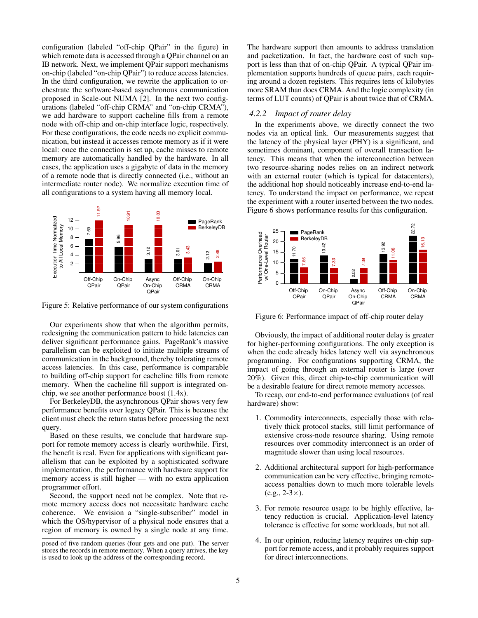configuration (labeled "off-chip QPair" in the figure) in which remote data is accessed through a QPair channel on an IB network. Next, we implement QPair support mechanisms on-chip (labeled "on-chip QPair") to reduce access latencies. In the third configuration, we rewrite the application to orchestrate the software-based asynchronous communication proposed in Scale-out NUMA [2]. In the next two configurations (labeled "off-chip CRMA" and "on-chip CRMA"), we add hardware to support cacheline fills from a remote node with off-chip and on-chip interface logic, respectively. For these configurations, the code needs no explicit communication, but instead it accesses remote memory as if it were local: once the connection is set up, cache misses to remote memory are automatically handled by the hardware. In all cases, the application uses a gigabyte of data in the memory of a remote node that is directly connected (i.e., without an intermediate router node). We normalize execution time of all configurations to a system having all memory local.



Figure 5: Relative performance of our system configurations

Our experiments show that when the algorithm permits, redesigning the communication pattern to hide latencies can deliver significant performance gains. PageRank's massive parallelism can be exploited to initiate multiple streams of communication in the background, thereby tolerating remote access latencies. In this case, performance is comparable to building off-chip support for cacheline fills from remote memory. When the cacheline fill support is integrated onchip, we see another performance boost (1.4x).

For BerkeleyDB, the asynchronous QPair shows very few performance benefits over legacy QPair. This is because the client must check the return status before processing the next query.

Based on these results, we conclude that hardware support for remote memory access is clearly worthwhile. First, the benefit is real. Even for applications with significant parallelism that can be exploited by a sophisticated software implementation, the performance with hardware support for memory access is still higher — with no extra application programmer effort.

Second, the support need not be complex. Note that remote memory access does not necessitate hardware cache coherence. We envision a "single-subscriber" model in which the OS/hypervisor of a physical node ensures that a region of memory is owned by a single node at any time.

The hardware support then amounts to address translation and packetization. In fact, the hardware cost of such support is less than that of on-chip QPair. A typical QPair implementation supports hundreds of queue pairs, each requiring around a dozen registers. This requires tens of kilobytes more SRAM than does CRMA. And the logic complexity (in terms of LUT counts) of QPair is about twice that of CRMA.

## *4.2.2 Impact of router delay*

In the experiments above, we directly connect the two nodes via an optical link. Our measurements suggest that the latency of the physical layer (PHY) is a significant, and sometimes dominant, component of overall transaction latency. This means that when the interconnection between two resource-sharing nodes relies on an indirect network with an external router (which is typical for datacenters), the additional hop should noticeably increase end-to-end latency. To understand the impact on performance, we repeat the experiment with a router inserted between the two nodes. Figure 6 shows performance results for this configuration.



Figure 6: Performance impact of off-chip router delay

Obviously, the impact of additional router delay is greater for higher-performing configurations. The only exception is when the code already hides latency well via asynchronous programming. For configurations supporting CRMA, the impact of going through an external router is large (over 20%). Given this, direct chip-to-chip communication will be a desirable feature for direct remote memory accesses.

To recap, our end-to-end performance evaluations (of real hardware) show:

- 1. Commodity interconnects, especially those with relatively thick protocol stacks, still limit performance of extensive cross-node resource sharing. Using remote resources over commodity interconnect is an order of magnitude slower than using local resources.
- 2. Additional architectural support for high-performance communication can be very effective, bringing remoteaccess penalties down to much more tolerable levels  $(e.g., 2-3\times).$
- 3. For remote resource usage to be highly effective, latency reduction is crucial. Application-level latency tolerance is effective for some workloads, but not all.
- 4. In our opinion, reducing latency requires on-chip support for remote access, and it probably requires support for direct interconnections.

posed of five random queries (four gets and one put). The server stores the records in remote memory. When a query arrives, the key is used to look up the address of the corresponding record.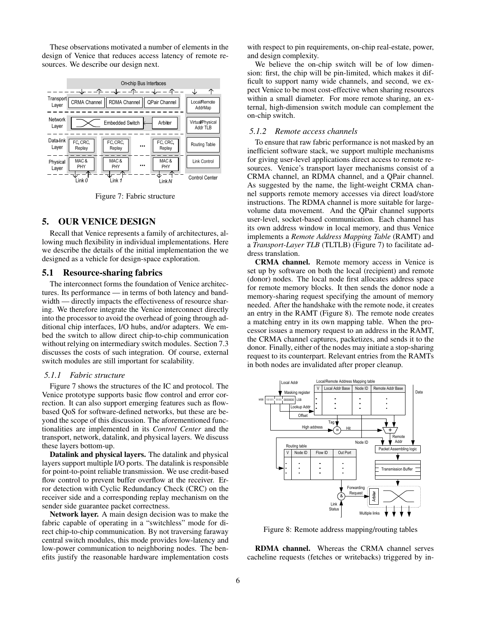These observations motivated a number of elements in the design of Venice that reduces access latency of remote resources. We describe our design next.



Figure 7: Fabric structure

## 5. OUR VENICE DESIGN

Recall that Venice represents a family of architectures, allowing much flexibility in individual implementations. Here we describe the details of the initial implementation the we designed as a vehicle for design-space exploration.

## 5.1 Resource-sharing fabrics

The interconnect forms the foundation of Venice architectures. Its performance — in terms of both latency and bandwidth — directly impacts the effectiveness of resource sharing. We therefore integrate the Venice interconnect directly into the processor to avoid the overhead of going through additional chip interfaces, I/O hubs, and/or adapters. We embed the switch to allow direct chip-to-chip communication without relying on intermediary switch modules. Section 7.3 discusses the costs of such integration. Of course, external switch modules are still important for scalability.

#### *5.1.1 Fabric structure*

Figure 7 shows the structures of the IC and protocol. The Venice prototype supports basic flow control and error correction. It can also support emerging features such as flowbased QoS for software-defined networks, but these are beyond the scope of this discussion. The aforementioned functionalities are implemented in its *Control Center* and the transport, network, datalink, and physical layers. We discuss these layers bottom-up.

Datalink and physical layers. The datalink and physical layers support multiple I/O ports. The datalink is responsible for point-to-point reliable transmission. We use credit-based flow control to prevent buffer overflow at the receiver. Error detection with Cyclic Redundancy Check (CRC) on the receiver side and a corresponding replay mechanism on the sender side guarantee packet correctness.

Network layer. A main design decision was to make the fabric capable of operating in a "switchless" mode for direct chip-to-chip communication. By not traversing faraway central switch modules, this mode provides low-latency and low-power communication to neighboring nodes. The benefits justify the reasonable hardware implementation costs

with respect to pin requirements, on-chip real-estate, power, and design complexity.

We believe the on-chip switch will be of low dimension: first, the chip will be pin-limited, which makes it difficult to support namy wide channels, and second, we expect Venice to be most cost-effective when sharing resources within a small diameter. For more remote sharing, an external, high-dimension switch module can complement the on-chip switch.

## *5.1.2 Remote access channels*

To ensure that raw fabric performance is not masked by an inefficient software stack, we support multiple mechanisms for giving user-level applications direct access to remote resources. Venice's transport layer mechanisms consist of a CRMA channel, an RDMA channel, and a QPair channel. As suggested by the name, the light-weight CRMA channel supports remote memory accesses via direct load/store instructions. The RDMA channel is more suitable for largevolume data movement. And the QPair channel supports user-level, socket-based communication. Each channel has its own address window in local memory, and thus Venice implements a *Remote Address Mapping Table* (RAMT) and a *Transport-Layer TLB* (TLTLB) (Figure 7) to facilitate address translation.

CRMA channel. Remote memory access in Venice is set up by software on both the local (recipient) and remote (donor) nodes. The local node first allocates address space for remote memory blocks. It then sends the donor node a memory-sharing request specifying the amount of memory needed. After the handshake with the remote node, it creates an entry in the RAMT (Figure 8). The remote node creates a matching entry in its own mapping table. When the processor issues a memory request to an address in the RAMT, the CRMA channel captures, packetizes, and sends it to the donor. Finally, either of the nodes may initiate a stop-sharing request to its counterpart. Relevant entries from the RAMTs in both nodes are invalidated after proper cleanup.



Figure 8: Remote address mapping/routing tables

RDMA channel. Whereas the CRMA channel serves cacheline requests (fetches or writebacks) triggered by in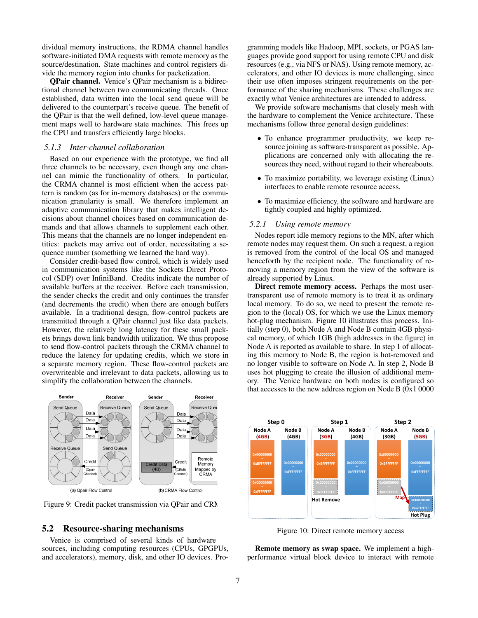dividual memory instructions, the RDMA channel handles software-initiated DMA requests with remote memory as the source/destination. State machines and control registers divide the memory region into chunks for packetization.

QPair channel. Venice's QPair mechanism is a bidirectional channel between two communicating threads. Once established, data written into the local send queue will be delivered to the counterpart's receive queue. The benefit of the QPair is that the well defined, low-level queue management maps well to hardware state machines. This frees up the CPU and transfers efficiently large blocks.

#### *5.1.3 Inter-channel collaboration*

Based on our experience with the prototype, we find all three channels to be necessary, even though any one channel can mimic the functionality of others. In particular, the CRMA channel is most efficient when the access pattern is random (as for in-memory databases) or the communication granularity is small. We therefore implement an adaptive communication library that makes intelligent decisions about channel choices based on communication demands and that allows channels to supplement each other. This means that the channels are no longer independent entities: packets may arrive out of order, necessitating a sequence number (something we learned the hard way).

Consider credit-based flow control, which is widely used in communication systems like the Sockets Direct Protocol (SDP) over InfiniBand. Credits indicate the number of available buffers at the receiver. Before each transmission, the sender checks the credit and only continues the transfer (and decrements the credit) when there are enough buffers available. In a traditional design, flow-control packets are transmitted through a QPair channel just like data packets. However, the relatively long latency for these small packets brings down link bandwidth utilization. We thus propose to send flow-control packets through the CRMA channel to reduce the latency for updating credits, which we store in a separate memory region. These flow-control packets are overwriteable and irrelevant to data packets, allowing us to simplify the collaboration between the channels.



Figure 9: Credit packet transmission via OPair and CRM

#### 5.2 Resource-sharing mechanisms

Venice is comprised of several kinds of hardware sources, including computing resources (CPUs, GPGPUs, and accelerators), memory, disk, and other IO devices. Programming models like Hadoop, MPI, sockets, or PGAS languages provide good support for using remote CPU and disk resources (e.g., via NFS or NAS). Using remote memory, accelerators, and other IO devices is more challenging, since their use often imposes stringent requirements on the performance of the sharing mechanisms. These challenges are exactly what Venice architectures are intended to address.

We provide software mechanisms that closely mesh with the hardware to complement the Venice architecture. These mechanisms follow three general design guidelines:

- To enhance programmer productivity, we keep resource joining as software-transparent as possible. Applications are concerned only with allocating the resources they need, without regard to their whereabouts.
- To maximize portability, we leverage existing (Linux) interfaces to enable remote resource access.
- To maximize efficiency, the software and hardware are tightly coupled and highly optimized.

#### *5.2.1 Using remote memory*

Nodes report idle memory regions to the MN, after which remote nodes may request them. On such a request, a region is removed from the control of the local OS and managed henceforth by the recipient node. The functionality of removing a memory region from the view of the software is already supported by Linux.

Direct remote memory access. Perhaps the most usertransparent use of remote memory is to treat it as ordinary local memory. To do so, we need to present the remote region to the (local) OS, for which we use the Linux memory hot-plug mechanism. Figure 10 illustrates this process. Initially (step 0), both Node A and Node B contain 4GB physical memory, of which 1GB (high addresses in the figure) in Node A is reported as available to share. In step 1 of allocating this memory to Node B, the region is hot-removed and no longer visible to software on Node A. In step 2, Node B uses hot plugging to create the illusion of additional memory. The Venice hardware on both nodes is configured so that accesses to the new address region on Node B (0x1 0000



Figure 10: Direct remote memory access

Remote memory as swap space. We implement a highperformance virtual block device to interact with remote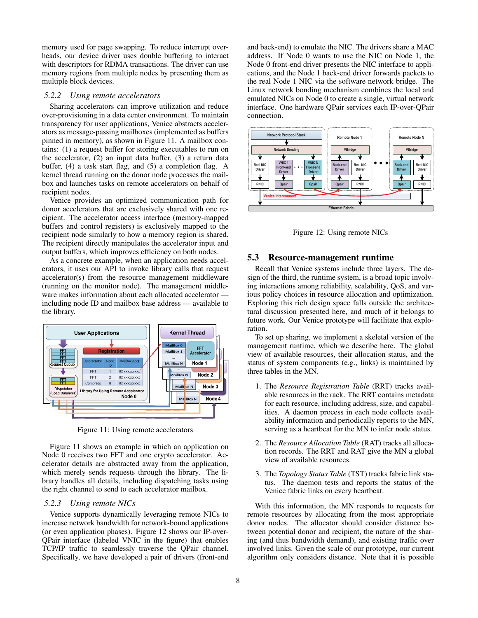memory used for page swapping. To reduce interrupt overheads, our device driver uses double buffering to interact with descriptors for RDMA transactions. The driver can use memory regions from multiple nodes by presenting them as multiple block devices.

#### *5.2.2 Using remote accelerators*

Sharing accelerators can improve utilization and reduce over-provisioning in a data center environment. To maintain transparency for user applications, Venice abstracts accelerators as message-passing mailboxes (implemented as buffers pinned in memory), as shown in Figure 11. A mailbox contains: (1) a request buffer for storing executables to run on the accelerator, (2) an input data buffer, (3) a return data buffer, (4) a task start flag, and (5) a completion flag. A kernel thread running on the donor node processes the mailbox and launches tasks on remote accelerators on behalf of recipient nodes.

Venice provides an optimized communication path for donor accelerators that are exclusively shared with one recipient. The accelerator access interface (memory-mapped buffers and control registers) is exclusively mapped to the recipient node similarly to how a memory region is shared. The recipient directly manipulates the accelerator input and output buffers, which improves efficiency on both nodes.

As a concrete example, when an application needs accelerators, it uses our API to invoke library calls that request accelerator(s) from the resource management middleware (running on the monitor node). The management middleware makes information about each allocated accelerator including node ID and mailbox base address — available to the library.



Figure 11: Using remote accelerators

Figure 11 shows an example in which an application on Node 0 receives two FFT and one crypto accelerator. Accelerator details are abstracted away from the application, which merely sends requests through the library. The library handles all details, including dispatching tasks using the right channel to send to each accelerator mailbox.

#### *5.2.3 Using remote NICs*

Venice supports dynamically leveraging remote NICs to increase network bandwidth for network-bound applications (or even application phases). Figure 12 shows our IP-over-QPair interface (labeled VNIC in the figure) that enables TCP/IP traffic to seamlessly traverse the QPair channel. Specifically, we have developed a pair of drivers (front-end and back-end) to emulate the NIC. The drivers share a MAC address. If Node 0 wants to use the NIC on Node 1, the Node 0 front-end driver presents the NIC interface to applications, and the Node 1 back-end driver forwards packets to the real Node 1 NIC via the software network bridge. The Linux network bonding mechanism combines the local and emulated NICs on Node 0 to create a single, virtual network interface. One hardware QPair services each IP-over-QPair connection.



Figure 12: Using remote NICs

## 5.3 Resource-management runtime

Recall that Venice systems include three layers. The design of the third, the runtime system, is a broad topic involving interactions among reliability, scalability, QoS, and various policy choices in resource allocation and optimization. Exploring this rich design space falls outside the architectural discussion presented here, and much of it belongs to future work. Our Venice prototype will facilitate that exploration.

To set up sharing, we implement a skeletal version of the management runtime, which we describe here. The global view of available resources, their allocation status, and the status of system components (e.g., links) is maintained by three tables in the MN.

- 1. The *Resource Registration Table* (RRT) tracks available resources in the rack. The RRT contains metadata for each resource, including address, size, and capabilities. A daemon process in each node collects availability information and periodically reports to the MN, serving as a heartbeat for the MN to infer node status.
- 2. The *Resource Allocation Table* (RAT) tracks all allocation records. The RRT and RAT give the MN a global view of available resources.
- 3. The *Topology Status Table* (TST) tracks fabric link status. The daemon tests and reports the status of the Venice fabric links on every heartbeat.

With this information, the MN responds to requests for remote resources by allocating from the most appropriate donor nodes. The allocator should consider distance between potential donor and recipient, the nature of the sharing (and thus bandwidth demand), and existing traffic over involved links. Given the scale of our prototype, our current algorithm only considers distance. Note that it is possible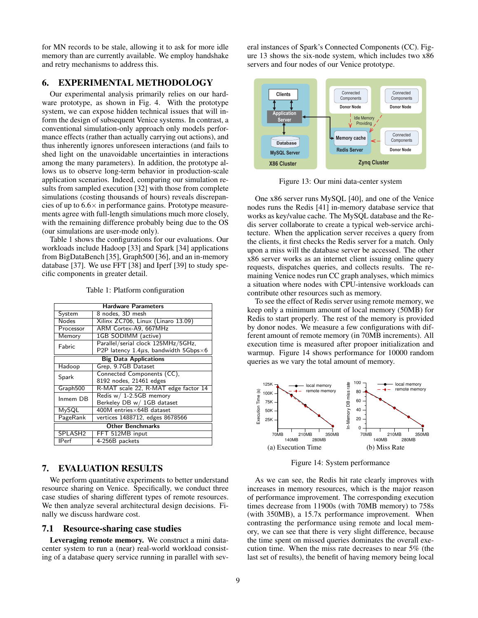for MN records to be stale, allowing it to ask for more idle memory than are currently available. We employ handshake and retry mechanisms to address this.

# 6. EXPERIMENTAL METHODOLOGY

Our experimental analysis primarily relies on our hardware prototype, as shown in Fig. 4. With the prototype system, we can expose hidden technical issues that will inform the design of subsequent Venice systems. In contrast, a conventional simulation-only approach only models performance effects (rather than actually carrying out actions), and thus inherently ignores unforeseen interactions (and fails to shed light on the unavoidable uncertainties in interactions among the many parameters). In addition, the prototype allows us to observe long-term behavior in production-scale application scenarios. Indeed, comparing our simulation results from sampled execution [32] with those from complete simulations (costing thousands of hours) reveals discrepancies of up to  $6.6 \times$  in performance gains. Prototype measurements agree with full-length simulations much more closely, with the remaining difference probably being due to the OS (our simulations are user-mode only).

Table 1 shows the configurations for our evaluations. Our workloads include Hadoop [33] and Spark [34] applications from BigDataBench [35], Graph500 [36], and an in-memory database [37]. We use FFT [38] and Iperf [39] to study specific components in greater detail.

| <b>Hardware Parameters</b>   |                                                     |
|------------------------------|-----------------------------------------------------|
| System                       | 8 nodes, 3D mesh                                    |
| Nodes                        | Xilinx ZC706, Linux (Linaro 13.09)                  |
| Processor                    | ARM Cortex-A9, 667MHz                               |
| Memory                       | 1GB SODIMM (active)                                 |
| Fabric                       | Parallel/serial clock 125MHz/5GHz,                  |
|                              | P2P latency 1.4 $\mu$ s, bandwidth 5Gbps $\times$ 6 |
| <b>Big Data Applications</b> |                                                     |
| Hadoop                       | Grep, 9.7GB Dataset                                 |
| Spark                        | Connected Components (CC),                          |
|                              | 8192 nodes, 21461 edges                             |
| Graph500                     | R-MAT scale 22, R-MAT edge factor 14                |
| Inmem DB                     | Redis w/ 1-2.5GB memory                             |
|                              | Berkeley DB w/ 1GB dataset                          |
| <b>MySQL</b>                 | $400M$ entries $\times 64B$ dataset                 |
| PageRank                     | vertices 1488712, edges 8678566                     |
| <b>Other Benchmarks</b>      |                                                     |
| SPLASH <sub>2</sub>          | FFT 512MB input                                     |
| IPerf                        | 4-256B packets                                      |

Table 1: Platform configuration

# 7. EVALUATION RESULTS

We perform quantitative experiments to better understand resource sharing on Venice. Specifically, we conduct three case studies of sharing different types of remote resources. We then analyze several architectural design decisions. Finally we discuss hardware cost.

## 7.1 Resource-sharing case studies

Leveraging remote memory. We construct a mini datacenter system to run a (near) real-world workload consisting of a database query service running in parallel with several instances of Spark's Connected Components (CC). Figure 13 shows the six-node system, which includes two x86 servers and four nodes of our Venice prototype.



Figure 13: Our mini data-center system

One x86 server runs MySQL [40], and one of the Venice nodes runs the Redis [41] in-memory database service that works as key/value cache. The MySQL database and the Redis server collaborate to create a typical web-service architecture. When the application server receives a query from the clients, it first checks the Redis server for a match. Only upon a miss will the database server be accessed. The other x86 server works as an internet client issuing online query requests, dispatches queries, and collects results. The remaining Venice nodes run CC graph analyses, which mimics a situation where nodes with CPU-intensive workloads can contribute other resources such as memory.

To see the effect of Redis server using remote memory, we keep only a minimum amount of local memory (50MB) for Redis to start properly. The rest of the memory is provided by donor nodes. We measure a few configurations with different amount of remote memory (in 70MB increments). All execution time is measured after propoer initialization and warmup. Figure 14 shows performance for 10000 random queries as we vary the total amount of memory.



Figure 14: System performance

As we can see, the Redis hit rate clearly improves with increases in memory resources, which is the major reason of performance improvement. The corresponding execution times decrease from 11900s (with 70MB memory) to 758s (with 350MB), a 15.7x performance improvement. When contrasting the performance using remote and local memory, we can see that there is very slight difference, because the time spent on missed queries dominates the overall execution time. When the miss rate decreases to near 5% (the last set of results), the benefit of having memory being local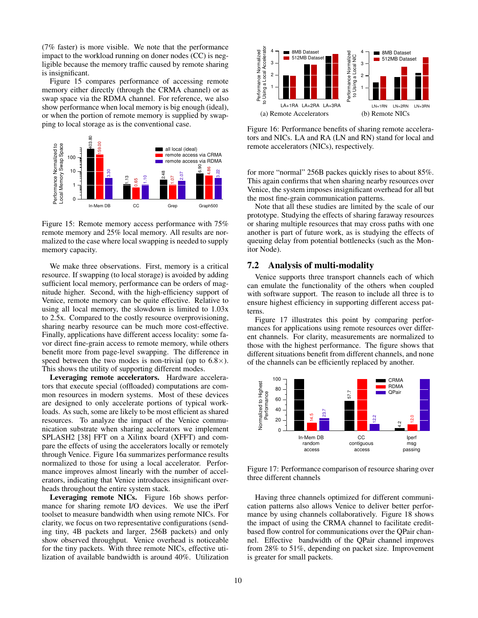(7% faster) is more visible. We note that the performance impact to the workload running on doner nodes (CC) is negligible because the memory traffic caused by remote sharing is insignificant.

Figure 15 compares performance of accessing remote memory either directly (through the CRMA channel) or as swap space via the RDMA channel. For reference, we also show performance when local memory is big enough (ideal), or when the portion of remote memory is supplied by swapping to local storage as is the conventional case.



Figure 15: Remote memory access performance with 75% remote memory and 25% local memory. All results are normalized to the case where local swapping is needed to supply memory capacity.

We make three observations. First, memory is a critical resource. If swapping (to local storage) is avoided by adding sufficient local memory, performance can be orders of magnitude higher. Second, with the high-efficiency support of Venice, remote memory can be quite effective. Relative to using all local memory, the slowdown is limited to 1.03x to 2.5x. Compared to the costly resource overprovisioning, sharing nearby resource can be much more cost-effective. Finally, applications have different access locality: some favor direct fine-grain access to remote memory, while others benefit more from page-level swapping. The difference in speed between the two modes is non-trivial (up to  $6.8 \times$ ). This shows the utility of supporting different modes.

Leveraging remote accelerators. Hardware accelerators that execute special (offloaded) computations are common resources in modern systems. Most of these devices are designed to only accelerate portions of typical workloads. As such, some are likely to be most efficient as shared resources. To analyze the impact of the Venice communication substrate when sharing acclerators we implement SPLASH2 [38] FFT on a Xilinx board (XFFT) and compare the effects of using the accelerators locally or remotely through Venice. Figure 16a summarizes performance results normalized to those for using a local accelerator. Performance improves almost linearly with the number of accelerators, indicating that Venice introduces insignificant overheads throughout the entire system stack.

Leveraging remote NICs. Figure 16b shows performance for sharing remote I/O devices. We use the iPerf toolset to measure bandwidth when using remote NICs. For clarity, we focus on two representative configurations (sending tiny, 4B packets and larger, 256B packets) and only show observed throughput. Venice overhead is noticeable for the tiny packets. With three remote NICs, effective utilization of available bandwidth is around 40%. Utilization



Figure 16: Performance benefits of sharing remote accelerators and NICs. LA and RA (LN and RN) stand for local and remote accelerators (NICs), respectively.

for more "normal" 256B packes quickly rises to about 85%. This again confirms that when sharing nearby resources over Venice, the system imposes insignificant overhead for all but the most fine-grain communication patterns.

Note that all these studies are limited by the scale of our prototype. Studying the effects of sharing faraway resources or sharing multiple resources that may cross paths with one another is part of future work, as is studying the effects of queuing delay from potential bottlenecks (such as the Monitor Node).

## 7.2 Analysis of multi-modality

Venice supports three transport channels each of which can emulate the functionality of the others when coupled with software support. The reason to include all three is to ensure highest efficiency in supporting different access patterns.

Figure 17 illustrates this point by comparing performances for applications using remote resources over different channels. For clarity, measurements are normalized to those with the highest performance. The figure shows that different situations benefit from different channels, and none of the channels can be efficiently replaced by another.



Figure 17: Performance comparison of resource sharing over three different channels

Having three channels optimized for different communication patterns also allows Venice to deliver better performance by using channels collaboratively. Figure 18 shows the impact of using the CRMA channel to facilitate creditbased flow control for communications over the QPair channel. Effective bandwidth of the QPair channel improves from 28% to 51%, depending on packet size. Improvement is greater for small packets.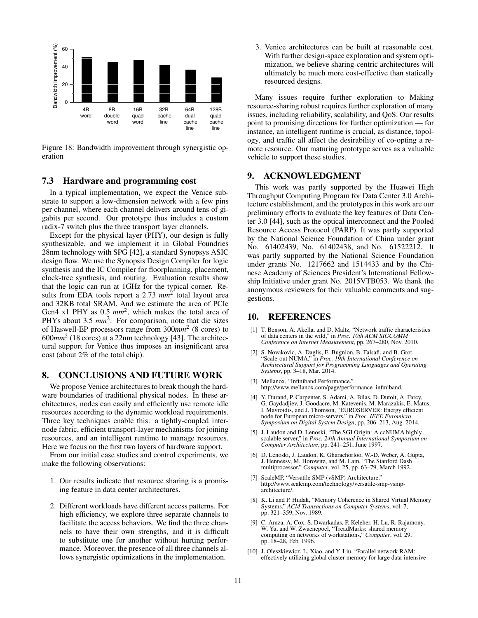

Figure 18: Bandwidth improvement through synergistic operation

## 7.3 Hardware and programming cost

In a typical implementation, we expect the Venice substrate to support a low-dimension network with a few pins per channel, where each channel delivers around tens of gigabits per second. Our prototype thus includes a custom radix-7 switch plus the three transport layer channels.

Except for the physical layer (PHY), our design is fully synthesizable, and we implement it in Global Foundries 28nm technology with SPG [42], a standard Synopsys ASIC design flow. We use the Synopsis Design Compiler for logic synthesis and the IC Compiler for floorplanning, placement, clock-tree synthesis, and routing. Evaluation results show that the logic can run at 1GHz for the typical corner. Results from EDA tools report a 2.73  $mm^2$  total layout area and 32KB total SRAM. And we estimate the area of PCIe Gen4 x1 PHY as 0.5 *mm*<sup>2</sup> , which makes the total area of PHYs about 3.5 mm<sup>2</sup>. For comparison, note that die sizes of Haswell-EP processors range from 300*mm*<sup>2</sup> (8 cores) to 600*mm*<sup>2</sup> (18 cores) at a 22nm technology [43]. The architectural support for Venice thus imposes an insignificant area cost (about 2% of the total chip).

## 8. CONCLUSIONS AND FUTURE WORK

We propose Venice architectures to break though the hardware boundaries of traditional physical nodes. In these architectures, nodes can easily and efficiently use remote idle resources according to the dynamic workload requirements. Three key techniques enable this: a tightly-coupled internode fabric, efficient transport-layer mechanisms for joining resources, and an intelligent runtime to manage resources. Here we focus on the first two layers of hardware support.

From our initial case studies and control experiments, we make the following observations:

- 1. Our results indicate that resource sharing is a promising feature in data center architectures.
- 2. Different workloads have different access patterns. For high efficiency, we explore three separate channels to facilitate the access behaviors. We find the three channels to have their own strengths, and it is difficult to substitute one for another without hurting performance. Moreover, the presence of all three channels allows synergistic optimizations in the implementation.

3. Venice architectures can be built at reasonable cost. With further design-space exploration and system optimization, we believe sharing-centric architectures will ultimately be much more cost-effective than statically resourced designs.

Many issues require further exploration to Making resource-sharing robust requires further exploration of many issues, including reliability, scalability, and QoS. Our results point to promising directions for further optimization — for instance, an intelligent runtime is crucial, as distance, topology, and traffic all affect the desirability of co-opting a remote resource. Our maturing prototype serves as a valuable vehicle to support these studies.

## 9. ACKNOWLEDGMENT

This work was partly supported by the Huawei High Throughput Computing Program for Data Center 3.0 Architecture establishment, and the prototypes in this work are our preliminary efforts to evaluate the key features of Data Center 3.0 [44], such as the optical interconnect and the Pooled Resource Access Protocol (PARP). It was partly supported by the National Science Foundation of China under grant No. 61402439, No. 61402438, and No. 61522212. It was partly supported by the National Science Foundation under grants No. 1217662 and 1514433 and by the Chinese Academy of Sciences President's International Fellowship Initiative under grant No. 2015VTB053. We thank the anonymous reviewers for their valuable comments and suggestions.

## 10. REFERENCES

- [1] T. Benson, A. Akella, and D. Maltz, "Network traffic characteristics of data centers in the wild," in *Proc. 10th ACM SIGCOMM Conference on Internet Measurement*, pp. 267–280, Nov. 2010.
- [2] S. Novakovic, A. Daglis, E. Bugnion, B. Falsafi, and B. Grot, "Scale-out NUMA," in *Proc. 19th International Conference on Architectural Support for Programming Languages and Operating Systems*, pp. 3–18, Mar. 2014.
- [3] Mellanox, "Infiniband Performance." http://www.mellanox.com/page/performance\_infiniband.
- [4] Y. Durand, P. Carpenter, S. Adami, A. Bilas, D. Dutoit, A. Farcy, G. Gaydadjiev, J. Goodacre, M. Katevenis, M. Marazakis, E. Matus, I. Mavroidis, and J. Thomson, "EUROSERVER: Energy efficient node for European micro-servers," in *Proc. IEEE Euromicro Symposium on Digital System Design*, pp. 206–213, Aug. 2014.
- [5] J. Laudon and D. Lenoski, "The SGI Origin: A ccNUMA highly scalable server," in *Proc. 24th Annual International Symposium on Computer Architecture*, pp. 241–251, June 1997.
- [6] D. Lenoski, J. Laudon, K. Gharachorloo, W.-D. Weber, A. Gupta, J. Hennessy, M. Horowitz, and M. Lam, "The Stanford Dash multiprocessor," *Computer*, vol. 25, pp. 63–79, March 1992.
- [7] ScaleMP, "Versatile SMP (vSMP) Architecture." http://www.scalemp.com/technology/versatile-smp-vsmparchitecture/.
- [8] K. Li and P. Hudak, "Memory Coherence in Shared Virtual Memory Systems," *ACM Transactions on Computer Systems*, vol. 7, pp. 321–359, Nov. 1989.
- [9] C. Amza, A. Cox, S. Dwarkadas, P. Keleher, H. Lu, R. Rajamony, W. Yu, and W. Zwaenepoel, "TreadMarks: shared memory computing on networks of workstations," *Computer*, vol. 29, pp. 18–28, Feb. 1996.
- [10] J. Oleszkiewicz, L. Xiao, and Y. Liu, "Parallel network RAM: effectively utilizing global cluster memory for large data-intensive